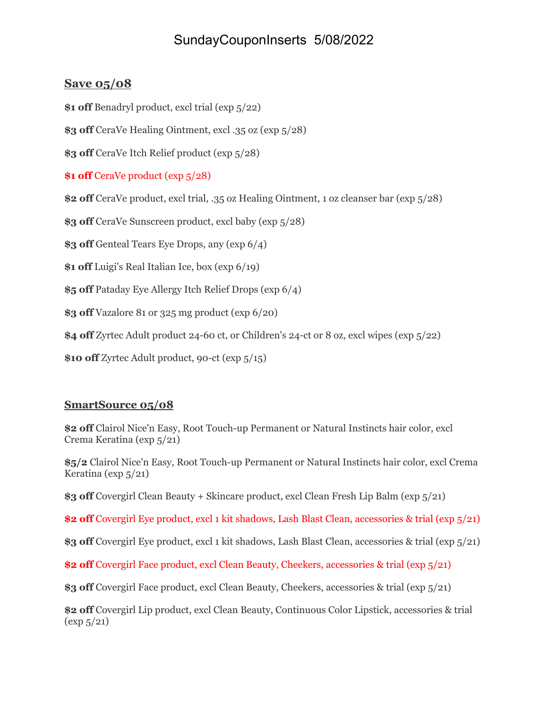## SundayCouponInserts 5/08/2022

## **Save 05/08**

**\$1 off** Benadryl product, excl trial (exp 5/22)

**\$3 off** CeraVe Healing Ointment, excl .35 oz (exp 5/28)

**\$3 off** CeraVe Itch Relief product (exp 5/28)

**\$1 off** CeraVe product (exp 5/28)

**\$2 off** CeraVe product, excl trial, .35 oz Healing Ointment, 1 oz cleanser bar (exp 5/28)

**\$3 off** CeraVe Sunscreen product, excl baby (exp 5/28)

**\$3 off** Genteal Tears Eye Drops, any (exp 6/4)

**\$1 off** Luigi's Real Italian Ice, box (exp 6/19)

**\$5 off** Pataday Eye Allergy Itch Relief Drops (exp 6/4)

**\$3 off** Vazalore 81 or 325 mg product (exp 6/20)

**\$4 off** Zyrtec Adult product 24-60 ct, or Children's 24-ct or 8 oz, excl wipes (exp 5/22)

**\$10 off** Zyrtec Adult product, 90-ct (exp 5/15)

## **SmartSource 05/08**

**\$2 off** Clairol Nice'n Easy, Root Touch-up Permanent or Natural Instincts hair color, excl Crema Keratina (exp 5/21)

**\$5/2** Clairol Nice'n Easy, Root Touch-up Permanent or Natural Instincts hair color, excl Crema Keratina (exp  $5/21$ )

**\$3 off** Covergirl Clean Beauty + Skincare product, excl Clean Fresh Lip Balm (exp 5/21)

**\$2 off** Covergirl Eye product, excl 1 kit shadows, Lash Blast Clean, accessories & trial (exp 5/21)

**\$3 off** Covergirl Eye product, excl 1 kit shadows, Lash Blast Clean, accessories & trial (exp 5/21)

**\$2 off** Covergirl Face product, excl Clean Beauty, Cheekers, accessories & trial (exp 5/21)

**\$3 off** Covergirl Face product, excl Clean Beauty, Cheekers, accessories & trial (exp 5/21)

**\$2 off** Covergirl Lip product, excl Clean Beauty, Continuous Color Lipstick, accessories & trial (exp 5/21)